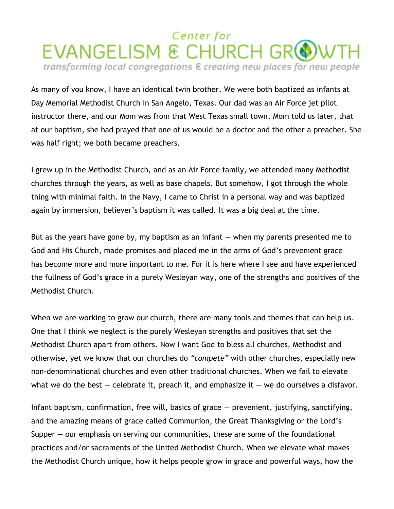## Center for EVANGELISM & CHURCH GROWTH transforming local congregations & creating new places for new people

As many of you know, I have an identical twin brother. We were both baptized as infants at Day Memorial Methodist Church in San Angelo, Texas. Our dad was an Air Force jet pilot instructor there, and our Mom was from that West Texas small town. Mom told us later, that at our baptism, she had prayed that one of us would be a doctor and the other a preacher. She was half right; we both became preachers.

I grew up in the Methodist Church, and as an Air Force family, we attended many Methodist churches through the years, as well as base chapels. But somehow, I got through the whole thing with minimal faith. In the Navy, I came to Christ in a personal way and was baptized again by immersion, believer's baptism it was called. It was a big deal at the time.

But as the years have gone by, my baptism as an infant ― when my parents presented me to God and His Church, made promises and placed me in the arms of God's prevenient grace  $$ has become more and more important to me. For it is here where I see and have experienced the fullness of God's grace in a purely Wesleyan way, one of the strengths and positives of the Methodist Church.

When we are working to grow our church, there are many tools and themes that can help us. One that I think we neglect is the purely Wesleyan strengths and positives that set the Methodist Church apart from others. Now I want God to bless all churches, Methodist and otherwise, yet we know that our churches do *"compete"* with other churches, especially new non-denominational churches and even other traditional churches. When we fail to elevate what we do the best  $-$  celebrate it, preach it, and emphasize it  $-$  we do ourselves a disfavor.

Infant baptism, confirmation, free will, basics of grace ― prevenient, justifying, sanctifying, and the amazing means of grace called Communion, the Great Thanksgiving or the Lord's Supper  $-$  our emphasis on serving our communities, these are some of the foundational practices and/or sacraments of the United Methodist Church. When we elevate what makes the Methodist Church unique, how it helps people grow in grace and powerful ways, how the